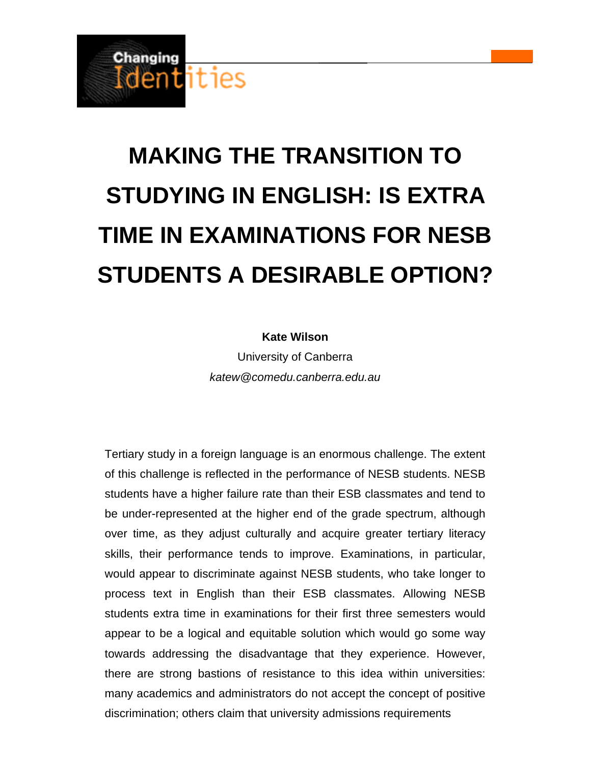

# **MAKING THE TRANSITION TO STUDYING IN ENGLISH: IS EXTRA TIME IN EXAMINATIONS FOR NESB STUDENTS A DESIRABLE OPTION?**

## **Kate Wilson**

University of Canberra *katew@comedu.canberra.edu.au*

Tertiary study in a foreign language is an enormous challenge. The extent of this challenge is reflected in the performance of NESB students. NESB students have a higher failure rate than their ESB classmates and tend to be under-represented at the higher end of the grade spectrum, although over time, as they adjust culturally and acquire greater tertiary literacy skills, their performance tends to improve. Examinations, in particular, would appear to discriminate against NESB students, who take longer to process text in English than their ESB classmates. Allowing NESB students extra time in examinations for their first three semesters would appear to be a logical and equitable solution which would go some way towards addressing the disadvantage that they experience. However, there are strong bastions of resistance to this idea within universities: many academics and administrators do not accept the concept of positive discrimination; others claim that university admissions requirements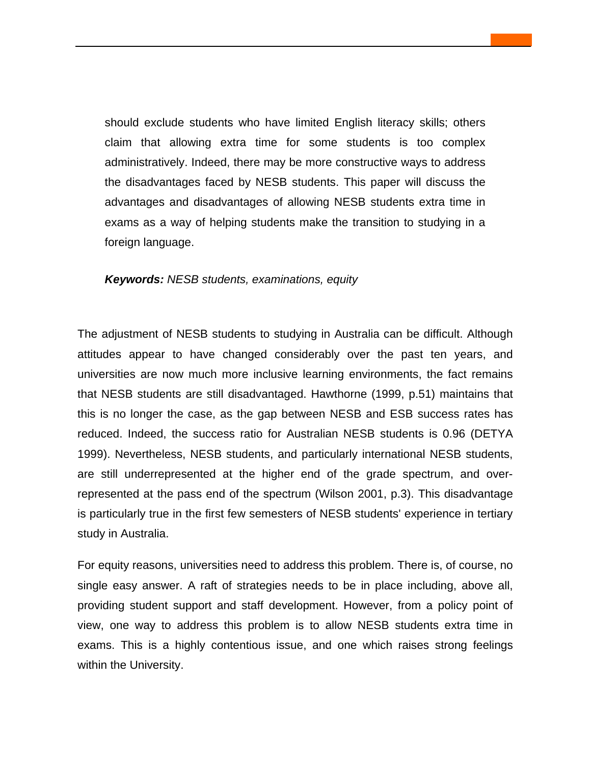should exclude students who have limited English literacy skills; others claim that allowing extra time for some students is too complex administratively. Indeed, there may be more constructive ways to address the disadvantages faced by NESB students. This paper will discuss the advantages and disadvantages of allowing NESB students extra time in exams as a way of helping students make the transition to studying in a foreign language.

#### *Keywords: NESB students, examinations, equity*

The adjustment of NESB students to studying in Australia can be difficult. Although attitudes appear to have changed considerably over the past ten years, and universities are now much more inclusive learning environments, the fact remains that NESB students are still disadvantaged. Hawthorne (1999, p.51) maintains that this is no longer the case, as the gap between NESB and ESB success rates has reduced. Indeed, the success ratio for Australian NESB students is 0.96 (DETYA 1999). Nevertheless, NESB students, and particularly international NESB students, are still underrepresented at the higher end of the grade spectrum, and overrepresented at the pass end of the spectrum (Wilson 2001, p.3). This disadvantage is particularly true in the first few semesters of NESB students' experience in tertiary study in Australia.

For equity reasons, universities need to address this problem. There is, of course, no single easy answer. A raft of strategies needs to be in place including, above all, providing student support and staff development. However, from a policy point of view, one way to address this problem is to allow NESB students extra time in exams. This is a highly contentious issue, and one which raises strong feelings within the University.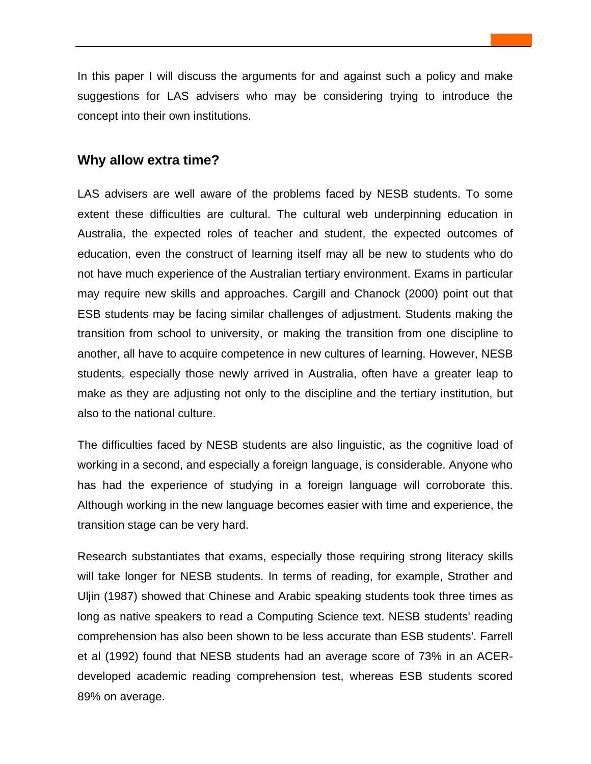In this paper I will discuss the arguments for and against such a policy and make suggestions for LAS advisers who may be considering trying to introduce the concept into their own institutions.

## **Why allow extra time?**

LAS advisers are well aware of the problems faced by NESB students. To some extent these difficulties are cultural. The cultural web underpinning education in Australia, the expected roles of teacher and student, the expected outcomes of education, even the construct of learning itself may all be new to students who do not have much experience of the Australian tertiary environment. Exams in particular may require new skills and approaches. Cargill and Chanock (2000) point out that ESB students may be facing similar challenges of adjustment. Students making the transition from school to university, or making the transition from one discipline to another, all have to acquire competence in new cultures of learning. However, NESB students, especially those newly arrived in Australia, often have a greater leap to make as they are adjusting not only to the discipline and the tertiary institution, but also to the national culture.

The difficulties faced by NESB students are also linguistic, as the cognitive load of working in a second, and especially a foreign language, is considerable. Anyone who has had the experience of studying in a foreign language will corroborate this. Although working in the new language becomes easier with time and experience, the transition stage can be very hard.

Research substantiates that exams, especially those requiring strong literacy skills will take longer for NESB students. In terms of reading, for example, Strother and Uljin (1987) showed that Chinese and Arabic speaking students took three times as long as native speakers to read a Computing Science text. NESB students' reading comprehension has also been shown to be less accurate than ESB students'. Farrell et al (1992) found that NESB students had an average score of 73% in an ACERdeveloped academic reading comprehension test, whereas ESB students scored 89% on average.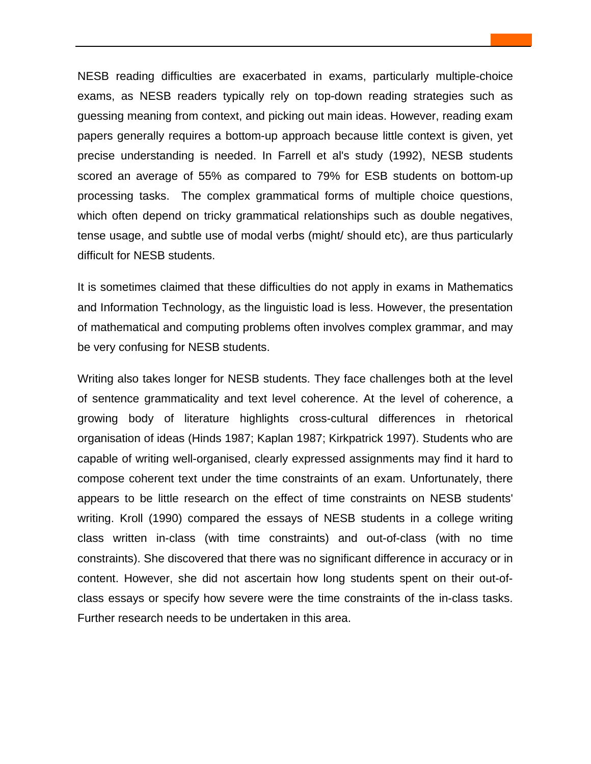NESB reading difficulties are exacerbated in exams, particularly multiple-choice exams, as NESB readers typically rely on top-down reading strategies such as guessing meaning from context, and picking out main ideas. However, reading exam papers generally requires a bottom-up approach because little context is given, yet precise understanding is needed. In Farrell et al's study (1992), NESB students scored an average of 55% as compared to 79% for ESB students on bottom-up processing tasks. The complex grammatical forms of multiple choice questions, which often depend on tricky grammatical relationships such as double negatives, tense usage, and subtle use of modal verbs (might/ should etc), are thus particularly difficult for NESB students.

It is sometimes claimed that these difficulties do not apply in exams in Mathematics and Information Technology, as the linguistic load is less. However, the presentation of mathematical and computing problems often involves complex grammar, and may be very confusing for NESB students.

Writing also takes longer for NESB students. They face challenges both at the level of sentence grammaticality and text level coherence. At the level of coherence, a growing body of literature highlights cross-cultural differences in rhetorical organisation of ideas (Hinds 1987; Kaplan 1987; Kirkpatrick 1997). Students who are capable of writing well-organised, clearly expressed assignments may find it hard to compose coherent text under the time constraints of an exam. Unfortunately, there appears to be little research on the effect of time constraints on NESB students' writing. Kroll (1990) compared the essays of NESB students in a college writing class written in-class (with time constraints) and out-of-class (with no time constraints). She discovered that there was no significant difference in accuracy or in content. However, she did not ascertain how long students spent on their out-ofclass essays or specify how severe were the time constraints of the in-class tasks. Further research needs to be undertaken in this area.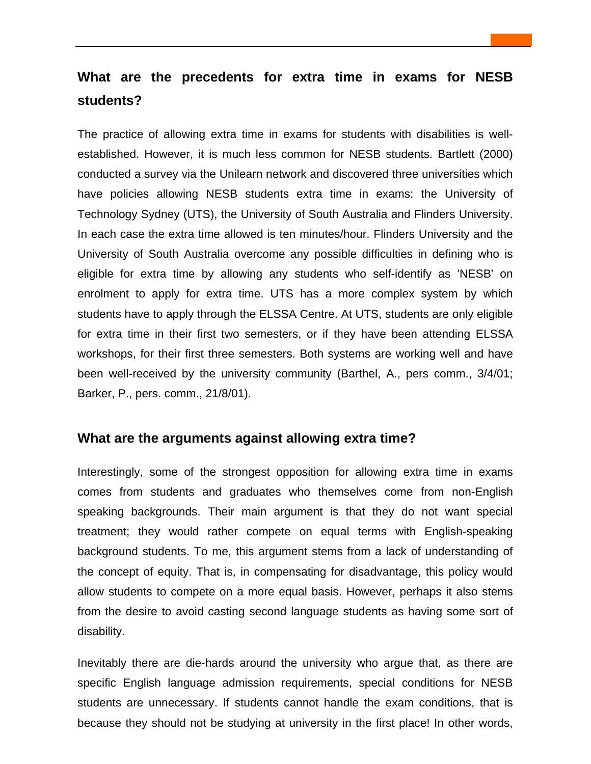# **What are the precedents for extra time in exams for NESB students?**

The practice of allowing extra time in exams for students with disabilities is wellestablished. However, it is much less common for NESB students. Bartlett (2000) conducted a survey via the Unilearn network and discovered three universities which have policies allowing NESB students extra time in exams: the University of Technology Sydney (UTS), the University of South Australia and Flinders University. In each case the extra time allowed is ten minutes/hour. Flinders University and the University of South Australia overcome any possible difficulties in defining who is eligible for extra time by allowing any students who self-identify as 'NESB' on enrolment to apply for extra time. UTS has a more complex system by which students have to apply through the ELSSA Centre. At UTS, students are only eligible for extra time in their first two semesters, or if they have been attending ELSSA workshops, for their first three semesters. Both systems are working well and have been well-received by the university community (Barthel, A., pers comm., 3/4/01; Barker, P., pers. comm., 21/8/01).

## **What are the arguments against allowing extra time?**

Interestingly, some of the strongest opposition for allowing extra time in exams comes from students and graduates who themselves come from non-English speaking backgrounds. Their main argument is that they do not want special treatment; they would rather compete on equal terms with English-speaking background students. To me, this argument stems from a lack of understanding of the concept of equity. That is, in compensating for disadvantage, this policy would allow students to compete on a more equal basis. However, perhaps it also stems from the desire to avoid casting second language students as having some sort of disability.

Inevitably there are die-hards around the university who argue that, as there are specific English language admission requirements, special conditions for NESB students are unnecessary. If students cannot handle the exam conditions, that is because they should not be studying at university in the first place! In other words,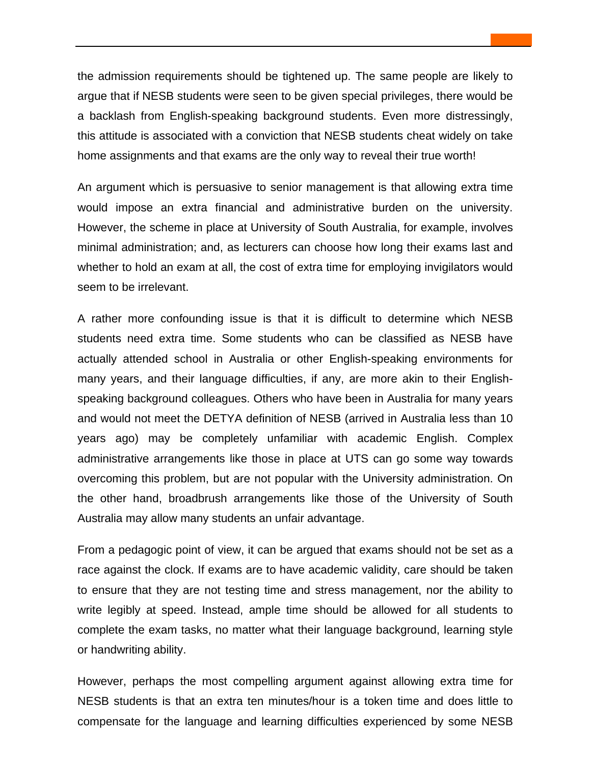the admission requirements should be tightened up. The same people are likely to argue that if NESB students were seen to be given special privileges, there would be a backlash from English-speaking background students. Even more distressingly, this attitude is associated with a conviction that NESB students cheat widely on take home assignments and that exams are the only way to reveal their true worth!

An argument which is persuasive to senior management is that allowing extra time would impose an extra financial and administrative burden on the university. However, the scheme in place at University of South Australia, for example, involves minimal administration; and, as lecturers can choose how long their exams last and whether to hold an exam at all, the cost of extra time for employing invigilators would seem to be irrelevant.

A rather more confounding issue is that it is difficult to determine which NESB students need extra time. Some students who can be classified as NESB have actually attended school in Australia or other English-speaking environments for many years, and their language difficulties, if any, are more akin to their Englishspeaking background colleagues. Others who have been in Australia for many years and would not meet the DETYA definition of NESB (arrived in Australia less than 10 years ago) may be completely unfamiliar with academic English. Complex administrative arrangements like those in place at UTS can go some way towards overcoming this problem, but are not popular with the University administration. On the other hand, broadbrush arrangements like those of the University of South Australia may allow many students an unfair advantage.

From a pedagogic point of view, it can be argued that exams should not be set as a race against the clock. If exams are to have academic validity, care should be taken to ensure that they are not testing time and stress management, nor the ability to write legibly at speed. Instead, ample time should be allowed for all students to complete the exam tasks, no matter what their language background, learning style or handwriting ability.

However, perhaps the most compelling argument against allowing extra time for NESB students is that an extra ten minutes/hour is a token time and does little to compensate for the language and learning difficulties experienced by some NESB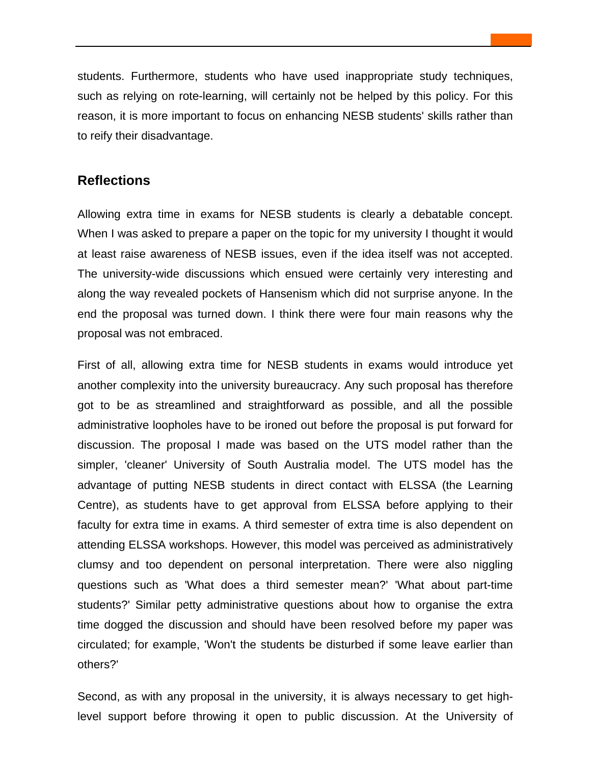students. Furthermore, students who have used inappropriate study techniques, such as relying on rote-learning, will certainly not be helped by this policy. For this reason, it is more important to focus on enhancing NESB students' skills rather than to reify their disadvantage.

## **Reflections**

Allowing extra time in exams for NESB students is clearly a debatable concept. When I was asked to prepare a paper on the topic for my university I thought it would at least raise awareness of NESB issues, even if the idea itself was not accepted. The university-wide discussions which ensued were certainly very interesting and along the way revealed pockets of Hansenism which did not surprise anyone. In the end the proposal was turned down. I think there were four main reasons why the proposal was not embraced.

First of all, allowing extra time for NESB students in exams would introduce yet another complexity into the university bureaucracy. Any such proposal has therefore got to be as streamlined and straightforward as possible, and all the possible administrative loopholes have to be ironed out before the proposal is put forward for discussion. The proposal I made was based on the UTS model rather than the simpler, 'cleaner' University of South Australia model. The UTS model has the advantage of putting NESB students in direct contact with ELSSA (the Learning Centre), as students have to get approval from ELSSA before applying to their faculty for extra time in exams. A third semester of extra time is also dependent on attending ELSSA workshops. However, this model was perceived as administratively clumsy and too dependent on personal interpretation. There were also niggling questions such as 'What does a third semester mean?' 'What about part-time students?' Similar petty administrative questions about how to organise the extra time dogged the discussion and should have been resolved before my paper was circulated; for example, 'Won't the students be disturbed if some leave earlier than others?'

Second, as with any proposal in the university, it is always necessary to get highlevel support before throwing it open to public discussion. At the University of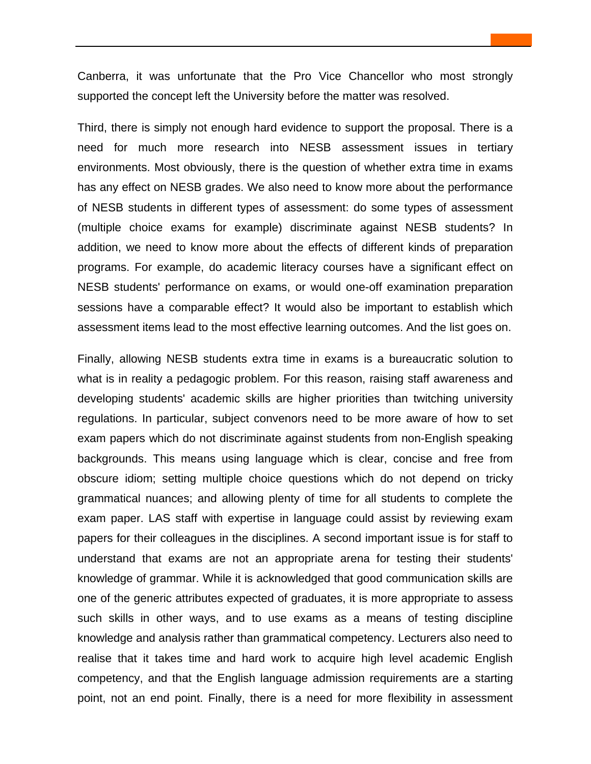Canberra, it was unfortunate that the Pro Vice Chancellor who most strongly supported the concept left the University before the matter was resolved.

Third, there is simply not enough hard evidence to support the proposal. There is a need for much more research into NESB assessment issues in tertiary environments. Most obviously, there is the question of whether extra time in exams has any effect on NESB grades. We also need to know more about the performance of NESB students in different types of assessment: do some types of assessment (multiple choice exams for example) discriminate against NESB students? In addition, we need to know more about the effects of different kinds of preparation programs. For example, do academic literacy courses have a significant effect on NESB students' performance on exams, or would one-off examination preparation sessions have a comparable effect? It would also be important to establish which assessment items lead to the most effective learning outcomes. And the list goes on.

Finally, allowing NESB students extra time in exams is a bureaucratic solution to what is in reality a pedagogic problem. For this reason, raising staff awareness and developing students' academic skills are higher priorities than twitching university regulations. In particular, subject convenors need to be more aware of how to set exam papers which do not discriminate against students from non-English speaking backgrounds. This means using language which is clear, concise and free from obscure idiom; setting multiple choice questions which do not depend on tricky grammatical nuances; and allowing plenty of time for all students to complete the exam paper. LAS staff with expertise in language could assist by reviewing exam papers for their colleagues in the disciplines. A second important issue is for staff to understand that exams are not an appropriate arena for testing their students' knowledge of grammar. While it is acknowledged that good communication skills are one of the generic attributes expected of graduates, it is more appropriate to assess such skills in other ways, and to use exams as a means of testing discipline knowledge and analysis rather than grammatical competency. Lecturers also need to realise that it takes time and hard work to acquire high level academic English competency, and that the English language admission requirements are a starting point, not an end point. Finally, there is a need for more flexibility in assessment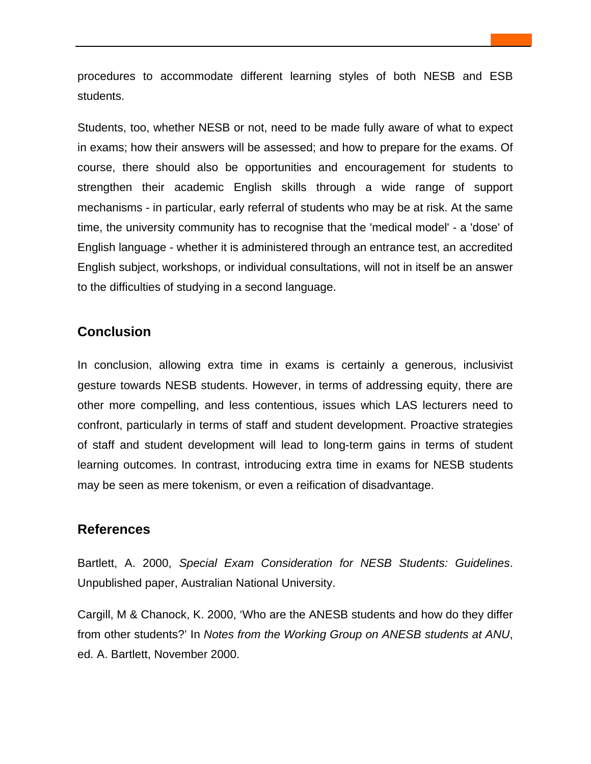procedures to accommodate different learning styles of both NESB and ESB students.

Students, too, whether NESB or not, need to be made fully aware of what to expect in exams; how their answers will be assessed; and how to prepare for the exams. Of course, there should also be opportunities and encouragement for students to strengthen their academic English skills through a wide range of support mechanisms - in particular, early referral of students who may be at risk. At the same time, the university community has to recognise that the 'medical model' - a 'dose' of English language - whether it is administered through an entrance test, an accredited English subject, workshops, or individual consultations, will not in itself be an answer to the difficulties of studying in a second language.

# **Conclusion**

In conclusion, allowing extra time in exams is certainly a generous, inclusivist gesture towards NESB students. However, in terms of addressing equity, there are other more compelling, and less contentious, issues which LAS lecturers need to confront, particularly in terms of staff and student development. Proactive strategies of staff and student development will lead to long-term gains in terms of student learning outcomes. In contrast, introducing extra time in exams for NESB students may be seen as mere tokenism, or even a reification of disadvantage.

## **References**

Bartlett, A. 2000, *Special Exam Consideration for NESB Students: Guidelines*. Unpublished paper, Australian National University.

Cargill, M & Chanock, K. 2000, 'Who are the ANESB students and how do they differ from other students?' In *Notes from the Working Group on ANESB students at ANU*, ed. A. Bartlett, November 2000.